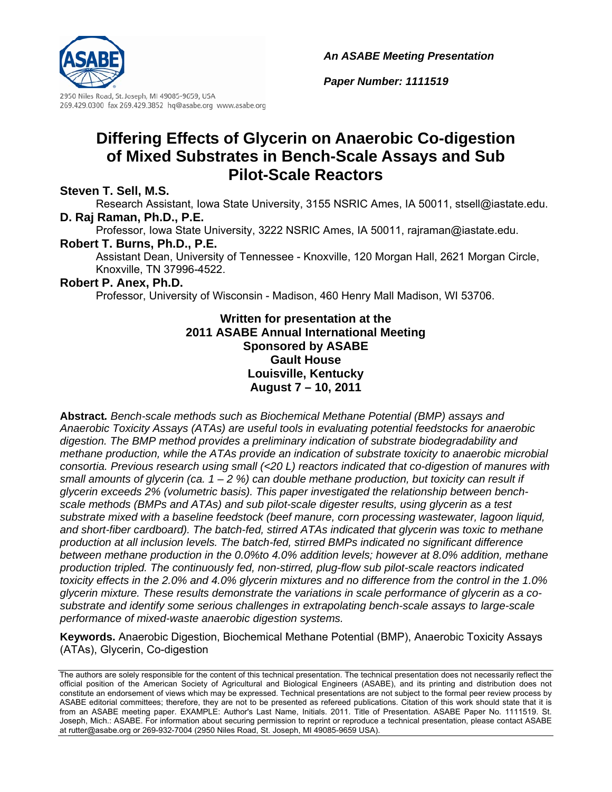*An ASABE Meeting Presentation*



2950 Niles Road, St. Joseph, MI 49085-9659, USA 269.429.0300 fax 269.429.3852 hq@asabe.org www.asabe.org

# **Differing Effects of Glycerin on Anaerobic Co-digestion of Mixed Substrates in Bench-Scale Assays and Sub Pilot-Scale Reactors**

### **Steven T. Sell, M.S.**

Research Assistant, Iowa State University, 3155 NSRIC Ames, IA 50011, stsell@iastate.edu. **D. Raj Raman, Ph.D., P.E.** 

Professor, Iowa State University, 3222 NSRIC Ames, IA 50011, rajraman@iastate.edu.

#### **Robert T. Burns, Ph.D., P.E.**

Assistant Dean, University of Tennessee - Knoxville, 120 Morgan Hall, 2621 Morgan Circle, Knoxville, TN 37996-4522.

#### **Robert P. Anex, Ph.D.**

Professor, University of Wisconsin - Madison, 460 Henry Mall Madison, WI 53706.

### **Written for presentation at the 2011 ASABE Annual International Meeting Sponsored by ASABE Gault House Louisville, Kentucky August 7 – 10, 2011**

**Abstract***. Bench-scale methods such as Biochemical Methane Potential (BMP) assays and Anaerobic Toxicity Assays (ATAs) are useful tools in evaluating potential feedstocks for anaerobic digestion. The BMP method provides a preliminary indication of substrate biodegradability and methane production, while the ATAs provide an indication of substrate toxicity to anaerobic microbial consortia. Previous research using small (<20 L) reactors indicated that co-digestion of manures with small amounts of glycerin (ca. 1 – 2 %) can double methane production, but toxicity can result if glycerin exceeds 2% (volumetric basis). This paper investigated the relationship between benchscale methods (BMPs and ATAs) and sub pilot-scale digester results, using glycerin as a test substrate mixed with a baseline feedstock (beef manure, corn processing wastewater, lagoon liquid, and short-fiber cardboard). The batch-fed, stirred ATAs indicated that glycerin was toxic to methane production at all inclusion levels. The batch-fed, stirred BMPs indicated no significant difference between methane production in the 0.0%to 4.0% addition levels; however at 8.0% addition, methane production tripled. The continuously fed, non-stirred, plug-flow sub pilot-scale reactors indicated toxicity effects in the 2.0% and 4.0% glycerin mixtures and no difference from the control in the 1.0% glycerin mixture. These results demonstrate the variations in scale performance of glycerin as a cosubstrate and identify some serious challenges in extrapolating bench-scale assays to large-scale performance of mixed-waste anaerobic digestion systems.* 

**Keywords.** Anaerobic Digestion, Biochemical Methane Potential (BMP), Anaerobic Toxicity Assays (ATAs), Glycerin, Co-digestion

*Paper Number: 1111519*

The authors are solely responsible for the content of this technical presentation. The technical presentation does not necessarily reflect the official position of the American Society of Agricultural and Biological Engineers (ASABE), and its printing and distribution does not constitute an endorsement of views which may be expressed. Technical presentations are not subject to the formal peer review process by ASABE editorial committees; therefore, they are not to be presented as refereed publications. Citation of this work should state that it is from an ASABE meeting paper. EXAMPLE: Author's Last Name, Initials. 2011. Title of Presentation. ASABE Paper No. 1111519. St. Joseph, Mich.: ASABE. For information about securing permission to reprint or reproduce a technical presentation, please contact ASABE at rutter@asabe.org or 269-932-7004 (2950 Niles Road, St. Joseph, MI 49085-9659 USA).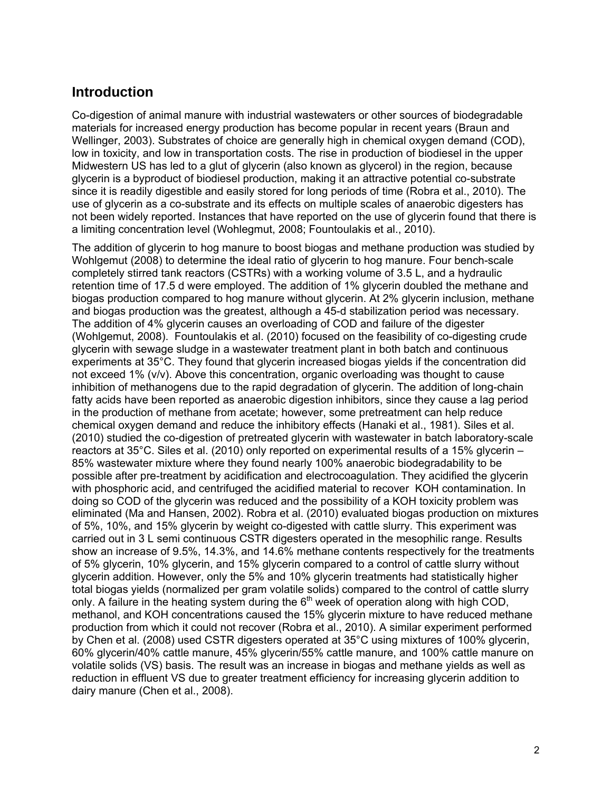## **Introduction**

Co-digestion of animal manure with industrial wastewaters or other sources of biodegradable materials for increased energy production has become popular in recent years (Braun and Wellinger, 2003). Substrates of choice are generally high in chemical oxygen demand (COD), low in toxicity, and low in transportation costs. The rise in production of biodiesel in the upper Midwestern US has led to a glut of glycerin (also known as glycerol) in the region, because glycerin is a byproduct of biodiesel production, making it an attractive potential co-substrate since it is readily digestible and easily stored for long periods of time (Robra et al., 2010). The use of glycerin as a co-substrate and its effects on multiple scales of anaerobic digesters has not been widely reported. Instances that have reported on the use of glycerin found that there is a limiting concentration level (Wohlegmut, 2008; Fountoulakis et al., 2010).

The addition of glycerin to hog manure to boost biogas and methane production was studied by Wohlgemut (2008) to determine the ideal ratio of glycerin to hog manure. Four bench-scale completely stirred tank reactors (CSTRs) with a working volume of 3.5 L, and a hydraulic retention time of 17.5 d were employed. The addition of 1% glycerin doubled the methane and biogas production compared to hog manure without glycerin. At 2% glycerin inclusion, methane and biogas production was the greatest, although a 45-d stabilization period was necessary. The addition of 4% glycerin causes an overloading of COD and failure of the digester (Wohlgemut, 2008). Fountoulakis et al. (2010) focused on the feasibility of co-digesting crude glycerin with sewage sludge in a wastewater treatment plant in both batch and continuous experiments at 35°C. They found that glycerin increased biogas yields if the concentration did not exceed 1% (v/v). Above this concentration, organic overloading was thought to cause inhibition of methanogens due to the rapid degradation of glycerin. The addition of long-chain fatty acids have been reported as anaerobic digestion inhibitors, since they cause a lag period in the production of methane from acetate; however, some pretreatment can help reduce chemical oxygen demand and reduce the inhibitory effects (Hanaki et al., 1981). Siles et al. (2010) studied the co-digestion of pretreated glycerin with wastewater in batch laboratory-scale reactors at 35°C. Siles et al. (2010) only reported on experimental results of a 15% glycerin – 85% wastewater mixture where they found nearly 100% anaerobic biodegradability to be possible after pre-treatment by acidification and electrocoagulation. They acidified the glycerin with phosphoric acid, and centrifuged the acidified material to recover KOH contamination. In doing so COD of the glycerin was reduced and the possibility of a KOH toxicity problem was eliminated (Ma and Hansen, 2002). Robra et al. (2010) evaluated biogas production on mixtures of 5%, 10%, and 15% glycerin by weight co-digested with cattle slurry. This experiment was carried out in 3 L semi continuous CSTR digesters operated in the mesophilic range. Results show an increase of 9.5%, 14.3%, and 14.6% methane contents respectively for the treatments of 5% glycerin, 10% glycerin, and 15% glycerin compared to a control of cattle slurry without glycerin addition. However, only the 5% and 10% glycerin treatments had statistically higher total biogas yields (normalized per gram volatile solids) compared to the control of cattle slurry only. A failure in the heating system during the  $6<sup>th</sup>$  week of operation along with high COD, methanol, and KOH concentrations caused the 15% glycerin mixture to have reduced methane production from which it could not recover (Robra et al., 2010). A similar experiment performed by Chen et al. (2008) used CSTR digesters operated at 35°C using mixtures of 100% glycerin, 60% glycerin/40% cattle manure, 45% glycerin/55% cattle manure, and 100% cattle manure on volatile solids (VS) basis. The result was an increase in biogas and methane yields as well as reduction in effluent VS due to greater treatment efficiency for increasing glycerin addition to dairy manure (Chen et al., 2008).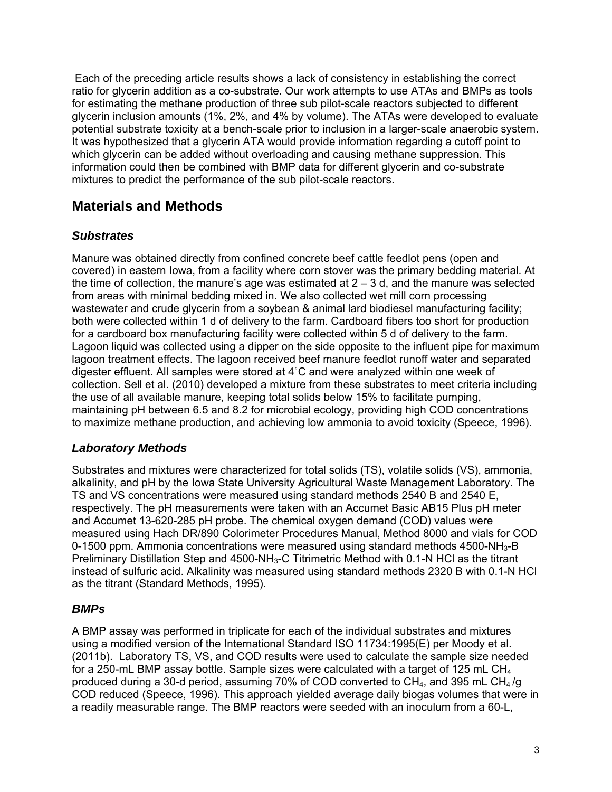Each of the preceding article results shows a lack of consistency in establishing the correct ratio for glycerin addition as a co-substrate. Our work attempts to use ATAs and BMPs as tools for estimating the methane production of three sub pilot-scale reactors subjected to different glycerin inclusion amounts (1%, 2%, and 4% by volume). The ATAs were developed to evaluate potential substrate toxicity at a bench-scale prior to inclusion in a larger-scale anaerobic system. It was hypothesized that a glycerin ATA would provide information regarding a cutoff point to which glycerin can be added without overloading and causing methane suppression. This information could then be combined with BMP data for different glycerin and co-substrate mixtures to predict the performance of the sub pilot-scale reactors.

# **Materials and Methods**

## *Substrates*

Manure was obtained directly from confined concrete beef cattle feedlot pens (open and covered) in eastern Iowa, from a facility where corn stover was the primary bedding material. At the time of collection, the manure's age was estimated at  $2 - 3$  d, and the manure was selected from areas with minimal bedding mixed in. We also collected wet mill corn processing wastewater and crude glycerin from a soybean & animal lard biodiesel manufacturing facility; both were collected within 1 d of delivery to the farm. Cardboard fibers too short for production for a cardboard box manufacturing facility were collected within 5 d of delivery to the farm. Lagoon liquid was collected using a dipper on the side opposite to the influent pipe for maximum lagoon treatment effects. The lagoon received beef manure feedlot runoff water and separated digester effluent. All samples were stored at 4˚C and were analyzed within one week of collection. Sell et al. (2010) developed a mixture from these substrates to meet criteria including the use of all available manure, keeping total solids below 15% to facilitate pumping, maintaining pH between 6.5 and 8.2 for microbial ecology, providing high COD concentrations to maximize methane production, and achieving low ammonia to avoid toxicity (Speece, 1996).

## *Laboratory Methods*

Substrates and mixtures were characterized for total solids (TS), volatile solids (VS), ammonia, alkalinity, and pH by the Iowa State University Agricultural Waste Management Laboratory. The TS and VS concentrations were measured using standard methods 2540 B and 2540 E, respectively. The pH measurements were taken with an Accumet Basic AB15 Plus pH meter and Accumet 13-620-285 pH probe. The chemical oxygen demand (COD) values were measured using Hach DR/890 Colorimeter Procedures Manual, Method 8000 and vials for COD 0-1500 ppm. Ammonia concentrations were measured using standard methods  $4500\text{-}NH_{3}$ -B Preliminary Distillation Step and 4500-NH3-C Titrimetric Method with 0.1-N HCl as the titrant instead of sulfuric acid. Alkalinity was measured using standard methods 2320 B with 0.1-N HCl as the titrant (Standard Methods, 1995).

### *BMPs*

A BMP assay was performed in triplicate for each of the individual substrates and mixtures using a modified version of the International Standard ISO 11734:1995(E) per Moody et al. (2011b). Laboratory TS, VS, and COD results were used to calculate the sample size needed for a 250-mL BMP assay bottle. Sample sizes were calculated with a target of 125 mL CH<sub>4</sub> produced during a 30-d period, assuming 70% of COD converted to  $CH_4$ , and 395 mL CH<sub>4</sub>/g COD reduced (Speece, 1996). This approach yielded average daily biogas volumes that were in a readily measurable range. The BMP reactors were seeded with an inoculum from a 60-L,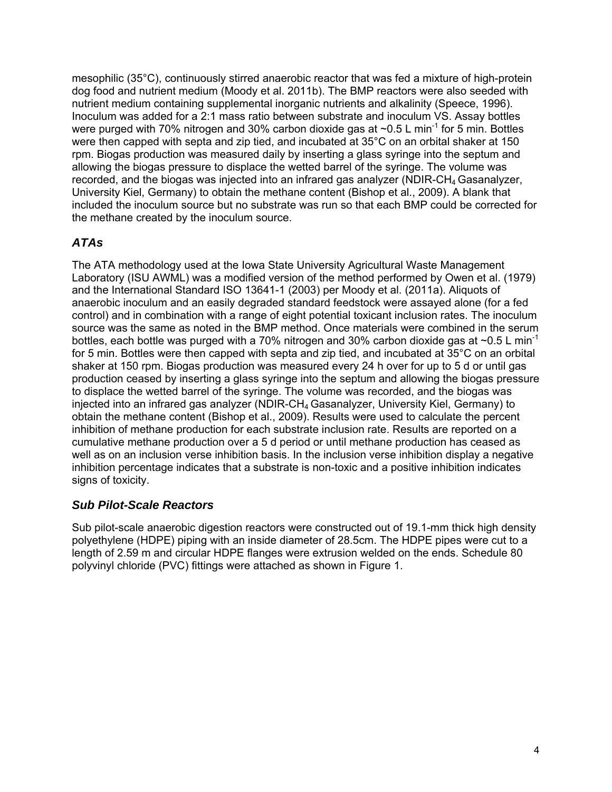mesophilic (35°C), continuously stirred anaerobic reactor that was fed a mixture of high-protein dog food and nutrient medium (Moody et al. 2011b). The BMP reactors were also seeded with nutrient medium containing supplemental inorganic nutrients and alkalinity (Speece, 1996). Inoculum was added for a 2:1 mass ratio between substrate and inoculum VS. Assay bottles were purged with 70% nitrogen and 30% carbon dioxide gas at  $\sim 0.5$  L min<sup>-1</sup> for 5 min. Bottles were then capped with septa and zip tied, and incubated at 35°C on an orbital shaker at 150 rpm. Biogas production was measured daily by inserting a glass syringe into the septum and allowing the biogas pressure to displace the wetted barrel of the syringe. The volume was recorded, and the biogas was injected into an infrared gas analyzer (NDIR-CH<sub>4</sub> Gasanalyzer, University Kiel, Germany) to obtain the methane content (Bishop et al., 2009). A blank that included the inoculum source but no substrate was run so that each BMP could be corrected for the methane created by the inoculum source.

## *ATAs*

The ATA methodology used at the Iowa State University Agricultural Waste Management Laboratory (ISU AWML) was a modified version of the method performed by Owen et al. (1979) and the International Standard ISO 13641-1 (2003) per Moody et al. (2011a). Aliquots of anaerobic inoculum and an easily degraded standard feedstock were assayed alone (for a fed control) and in combination with a range of eight potential toxicant inclusion rates. The inoculum source was the same as noted in the BMP method. Once materials were combined in the serum bottles, each bottle was purged with a 70% nitrogen and 30% carbon dioxide gas at  $\sim$ 0.5 L min<sup>-1</sup> for 5 min. Bottles were then capped with septa and zip tied, and incubated at 35°C on an orbital shaker at 150 rpm. Biogas production was measured every 24 h over for up to 5 d or until gas production ceased by inserting a glass syringe into the septum and allowing the biogas pressure to displace the wetted barrel of the syringe. The volume was recorded, and the biogas was injected into an infrared gas analyzer (NDIR-CH $_4$  Gasanalyzer, University Kiel, Germany) to obtain the methane content (Bishop et al., 2009). Results were used to calculate the percent inhibition of methane production for each substrate inclusion rate. Results are reported on a cumulative methane production over a 5 d period or until methane production has ceased as well as on an inclusion verse inhibition basis. In the inclusion verse inhibition display a negative inhibition percentage indicates that a substrate is non-toxic and a positive inhibition indicates signs of toxicity.

### *Sub Pilot-Scale Reactors*

Sub pilot-scale anaerobic digestion reactors were constructed out of 19.1-mm thick high density polyethylene (HDPE) piping with an inside diameter of 28.5cm. The HDPE pipes were cut to a length of 2.59 m and circular HDPE flanges were extrusion welded on the ends. Schedule 80 polyvinyl chloride (PVC) fittings were attached as shown in Figure 1.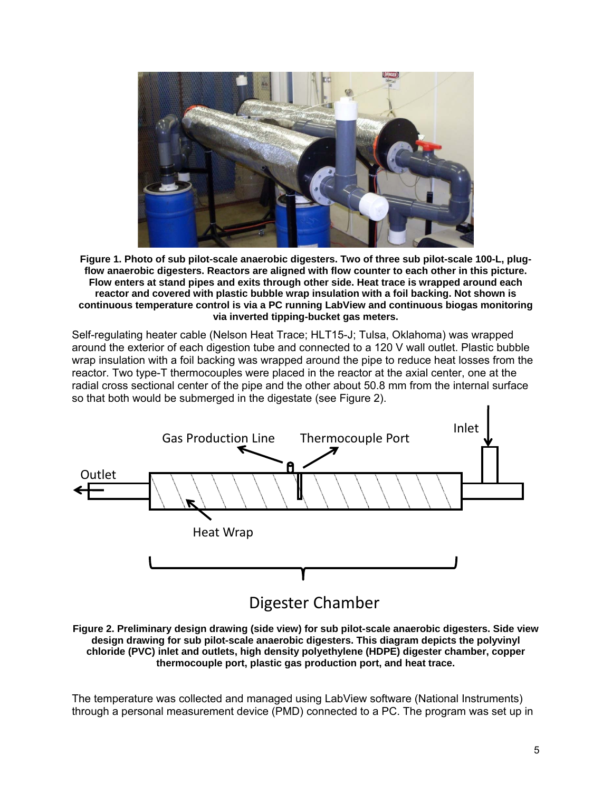

**Figure 1. Photo of sub pilot-scale anaerobic digesters. Two of three sub pilot-scale 100-L, plugflow anaerobic digesters. Reactors are aligned with flow counter to each other in this picture. Flow enters at stand pipes and exits through other side. Heat trace is wrapped around each reactor and covered with plastic bubble wrap insulation with a foil backing. Not shown is continuous temperature control is via a PC running LabView and continuous biogas monitoring via inverted tipping-bucket gas meters.** 

Self-regulating heater cable (Nelson Heat Trace; HLT15-J; Tulsa, Oklahoma) was wrapped around the exterior of each digestion tube and connected to a 120 V wall outlet. Plastic bubble wrap insulation with a foil backing was wrapped around the pipe to reduce heat losses from the reactor. Two type-T thermocouples were placed in the reactor at the axial center, one at the radial cross sectional center of the pipe and the other about 50.8 mm from the internal surface so that both would be submerged in the digestate (see Figure 2).



**Figure 2. Preliminary design drawing (side view) for sub pilot-scale anaerobic digesters. Side view design drawing for sub pilot-scale anaerobic digesters. This diagram depicts the polyvinyl chloride (PVC) inlet and outlets, high density polyethylene (HDPE) digester chamber, copper thermocouple port, plastic gas production port, and heat trace.** 

The temperature was collected and managed using LabView software (National Instruments) through a personal measurement device (PMD) connected to a PC. The program was set up in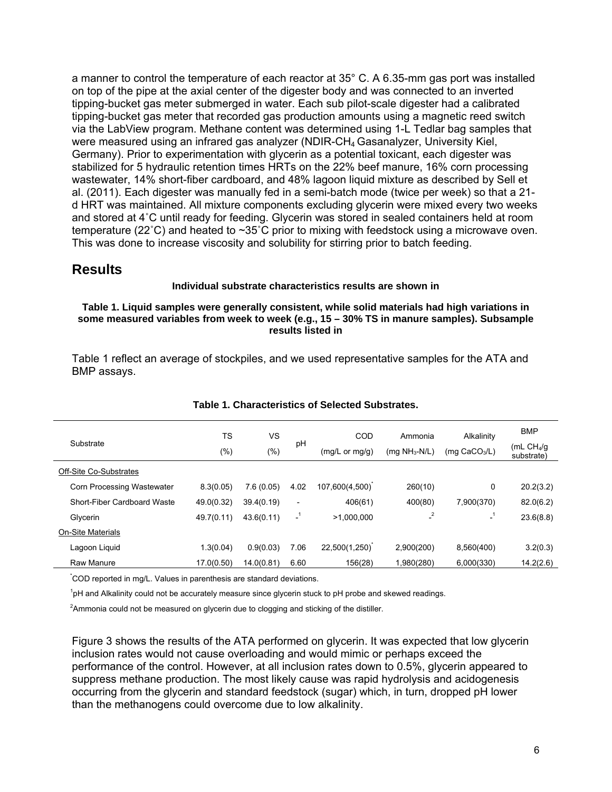a manner to control the temperature of each reactor at 35° C. A 6.35-mm gas port was installed on top of the pipe at the axial center of the digester body and was connected to an inverted tipping-bucket gas meter submerged in water. Each sub pilot-scale digester had a calibrated tipping-bucket gas meter that recorded gas production amounts using a magnetic reed switch via the LabView program. Methane content was determined using 1-L Tedlar bag samples that were measured using an infrared gas analyzer (NDIR-CH4 Gasanalyzer, University Kiel, Germany). Prior to experimentation with glycerin as a potential toxicant, each digester was stabilized for 5 hydraulic retention times HRTs on the 22% beef manure, 16% corn processing wastewater, 14% short-fiber cardboard, and 48% lagoon liquid mixture as described by Sell et al. (2011). Each digester was manually fed in a semi-batch mode (twice per week) so that a 21 d HRT was maintained. All mixture components excluding glycerin were mixed every two weeks and stored at 4˚C until ready for feeding. Glycerin was stored in sealed containers held at room temperature (22˚C) and heated to ~35˚C prior to mixing with feedstock using a microwave oven. This was done to increase viscosity and solubility for stirring prior to batch feeding.

#### **Results**

#### **Individual substrate characteristics results are shown in**

#### **Table 1. Liquid samples were generally consistent, while solid materials had high variations in some measured variables from week to week (e.g., 15 – 30% TS in manure samples). Subsample results listed in**

Table 1 reflect an average of stockpiles, and we used representative samples for the ATA and BMP assays.

| Substrate                   | <b>TS</b>  | VS         | pH                       | COD                       | Ammonia          | Alkalinity               | <b>BMP</b>                |
|-----------------------------|------------|------------|--------------------------|---------------------------|------------------|--------------------------|---------------------------|
|                             | $(\% )$    | $(\% )$    |                          | $(mg/L \text{ or } mg/g)$ | (mg $NH_3-N/L$ ) | (mg $CaCO3/L$ )          | (mL $CH4/q$<br>substrate) |
| Off-Site Co-Substrates      |            |            |                          |                           |                  |                          |                           |
| Corn Processing Wastewater  | 8.3(0.05)  | 7.6(0.05)  | 4.02                     | 107,600(4,500)            | 260(10)          | 0                        | 20.2(3.2)                 |
| Short-Fiber Cardboard Waste | 49.0(0.32) | 39.4(0.19) | $\overline{\phantom{a}}$ | 406(61)                   | 400(80)          | 7,900(370)               | 82.0(6.2)                 |
| Glycerin                    | 49.7(0.11) | 43.6(0.11) | $\mathbf{I}^1$           | >1,000,000                | $^{2}$           | $\overline{\phantom{0}}$ | 23.6(8.8)                 |
| <b>On-Site Materials</b>    |            |            |                          |                           |                  |                          |                           |
| Lagoon Liguid               | 1.3(0.04)  | 0.9(0.03)  | 7.06                     | 22,500(1,250)             | 2,900(200)       | 8,560(400)               | 3.2(0.3)                  |
| Raw Manure                  | 17.0(0.50) | 14.0(0.81) | 6.60                     | 156(28)                   | 1,980(280)       | 6,000(330)               | 14.2(2.6)                 |

#### **Table 1. Characteristics of Selected Substrates.**

\*COD reported in mg/L. Values in parenthesis are standard deviations.

<sup>1</sup>pH and Alkalinity could not be accurately measure since glycerin stuck to pH probe and skewed readings.

 $2$ Ammonia could not be measured on glycerin due to clogging and sticking of the distiller.

Figure 3 shows the results of the ATA performed on glycerin. It was expected that low glycerin inclusion rates would not cause overloading and would mimic or perhaps exceed the performance of the control. However, at all inclusion rates down to 0.5%, glycerin appeared to suppress methane production. The most likely cause was rapid hydrolysis and acidogenesis occurring from the glycerin and standard feedstock (sugar) which, in turn, dropped pH lower than the methanogens could overcome due to low alkalinity.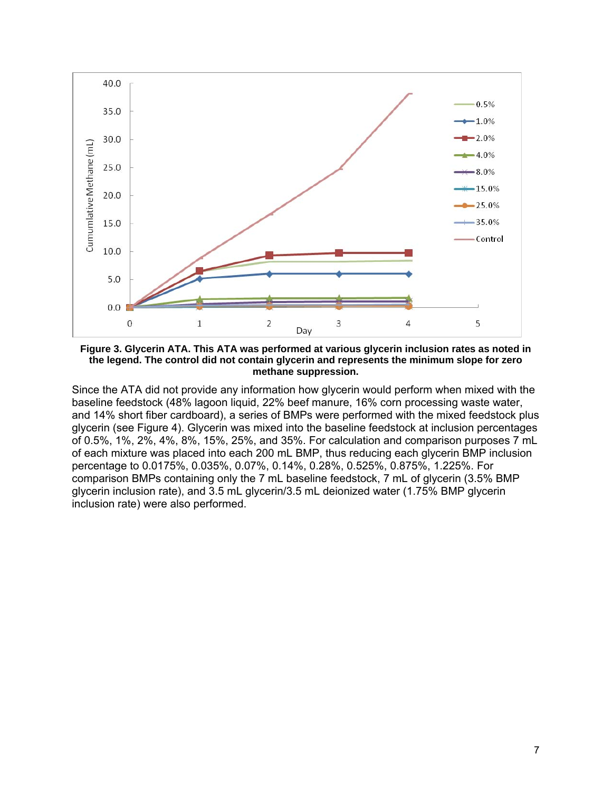

**Figure 3. Glycerin ATA. This ATA was performed at various glycerin inclusion rates as noted in the legend. The control did not contain glycerin and represents the minimum slope for zero methane suppression.** 

Since the ATA did not provide any information how glycerin would perform when mixed with the baseline feedstock (48% lagoon liquid, 22% beef manure, 16% corn processing waste water, and 14% short fiber cardboard), a series of BMPs were performed with the mixed feedstock plus glycerin (see Figure 4). Glycerin was mixed into the baseline feedstock at inclusion percentages of 0.5%, 1%, 2%, 4%, 8%, 15%, 25%, and 35%. For calculation and comparison purposes 7 mL of each mixture was placed into each 200 mL BMP, thus reducing each glycerin BMP inclusion percentage to 0.0175%, 0.035%, 0.07%, 0.14%, 0.28%, 0.525%, 0.875%, 1.225%. For comparison BMPs containing only the 7 mL baseline feedstock, 7 mL of glycerin (3.5% BMP glycerin inclusion rate), and 3.5 mL glycerin/3.5 mL deionized water (1.75% BMP glycerin inclusion rate) were also performed.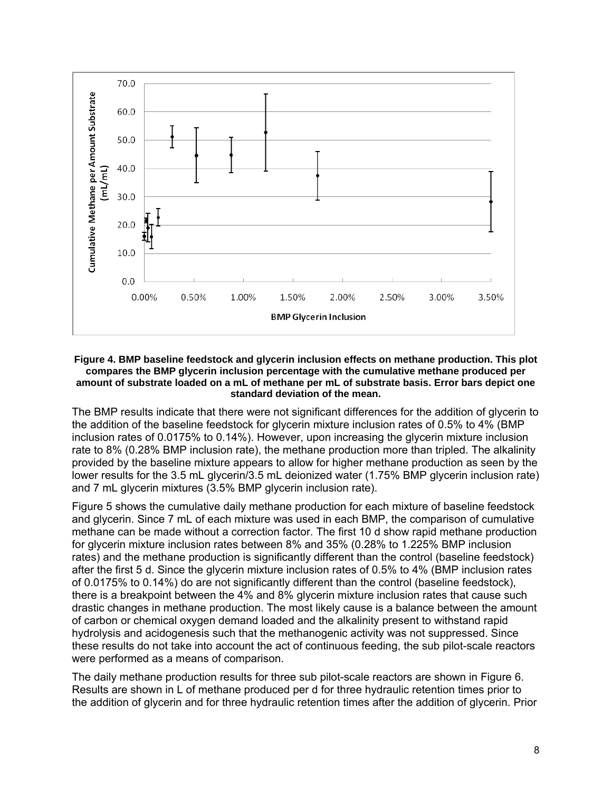

#### **Figure 4. BMP baseline feedstock and glycerin inclusion effects on methane production. This plot compares the BMP glycerin inclusion percentage with the cumulative methane produced per amount of substrate loaded on a mL of methane per mL of substrate basis. Error bars depict one standard deviation of the mean.**

The BMP results indicate that there were not significant differences for the addition of glycerin to the addition of the baseline feedstock for glycerin mixture inclusion rates of 0.5% to 4% (BMP inclusion rates of 0.0175% to 0.14%). However, upon increasing the glycerin mixture inclusion rate to 8% (0.28% BMP inclusion rate), the methane production more than tripled. The alkalinity provided by the baseline mixture appears to allow for higher methane production as seen by the lower results for the 3.5 mL glycerin/3.5 mL deionized water (1.75% BMP glycerin inclusion rate) and 7 mL glycerin mixtures (3.5% BMP glycerin inclusion rate).

Figure 5 shows the cumulative daily methane production for each mixture of baseline feedstock and glycerin. Since 7 mL of each mixture was used in each BMP, the comparison of cumulative methane can be made without a correction factor. The first 10 d show rapid methane production for glycerin mixture inclusion rates between 8% and 35% (0.28% to 1.225% BMP inclusion rates) and the methane production is significantly different than the control (baseline feedstock) after the first 5 d. Since the glycerin mixture inclusion rates of 0.5% to 4% (BMP inclusion rates of 0.0175% to 0.14%) do are not significantly different than the control (baseline feedstock), there is a breakpoint between the 4% and 8% glycerin mixture inclusion rates that cause such drastic changes in methane production. The most likely cause is a balance between the amount of carbon or chemical oxygen demand loaded and the alkalinity present to withstand rapid hydrolysis and acidogenesis such that the methanogenic activity was not suppressed. Since these results do not take into account the act of continuous feeding, the sub pilot-scale reactors were performed as a means of comparison.

The daily methane production results for three sub pilot-scale reactors are shown in Figure 6. Results are shown in L of methane produced per d for three hydraulic retention times prior to the addition of glycerin and for three hydraulic retention times after the addition of glycerin. Prior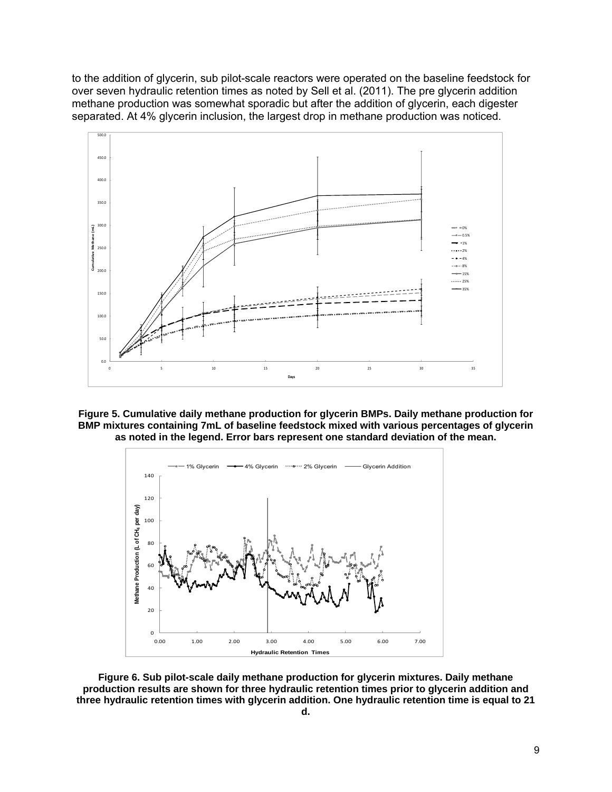to the addition of glycerin, sub pilot-scale reactors were operated on the baseline feedstock for over seven hydraulic retention times as noted by Sell et al. (2011). The pre glycerin addition methane production was somewhat sporadic but after the addition of glycerin, each digester separated. At 4% glycerin inclusion, the largest drop in methane production was noticed.







**Figure 6. Sub pilot-scale daily methane production for glycerin mixtures. Daily methane production results are shown for three hydraulic retention times prior to glycerin addition and three hydraulic retention times with glycerin addition. One hydraulic retention time is equal to 21**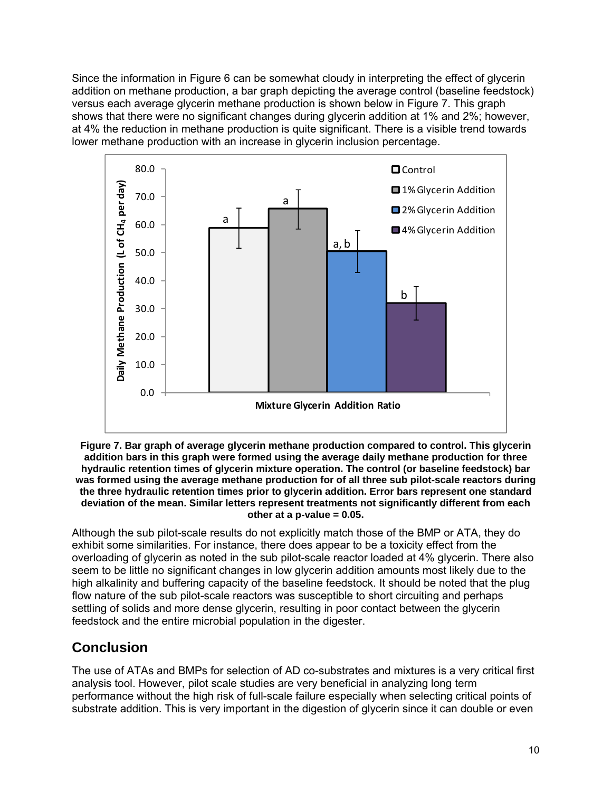Since the information in Figure 6 can be somewhat cloudy in interpreting the effect of glycerin addition on methane production, a bar graph depicting the average control (baseline feedstock) versus each average glycerin methane production is shown below in Figure 7. This graph shows that there were no significant changes during glycerin addition at 1% and 2%; however, at 4% the reduction in methane production is quite significant. There is a visible trend towards lower methane production with an increase in glycerin inclusion percentage.



**Figure 7. Bar graph of average glycerin methane production compared to control. This glycerin addition bars in this graph were formed using the average daily methane production for three hydraulic retention times of glycerin mixture operation. The control (or baseline feedstock) bar was formed using the average methane production for of all three sub pilot-scale reactors during the three hydraulic retention times prior to glycerin addition. Error bars represent one standard deviation of the mean. Similar letters represent treatments not significantly different from each other at a p-value = 0.05.** 

Although the sub pilot-scale results do not explicitly match those of the BMP or ATA, they do exhibit some similarities. For instance, there does appear to be a toxicity effect from the overloading of glycerin as noted in the sub pilot-scale reactor loaded at 4% glycerin. There also seem to be little no significant changes in low glycerin addition amounts most likely due to the high alkalinity and buffering capacity of the baseline feedstock. It should be noted that the plug flow nature of the sub pilot-scale reactors was susceptible to short circuiting and perhaps settling of solids and more dense glycerin, resulting in poor contact between the glycerin feedstock and the entire microbial population in the digester.

# **Conclusion**

The use of ATAs and BMPs for selection of AD co-substrates and mixtures is a very critical first analysis tool. However, pilot scale studies are very beneficial in analyzing long term performance without the high risk of full-scale failure especially when selecting critical points of substrate addition. This is very important in the digestion of glycerin since it can double or even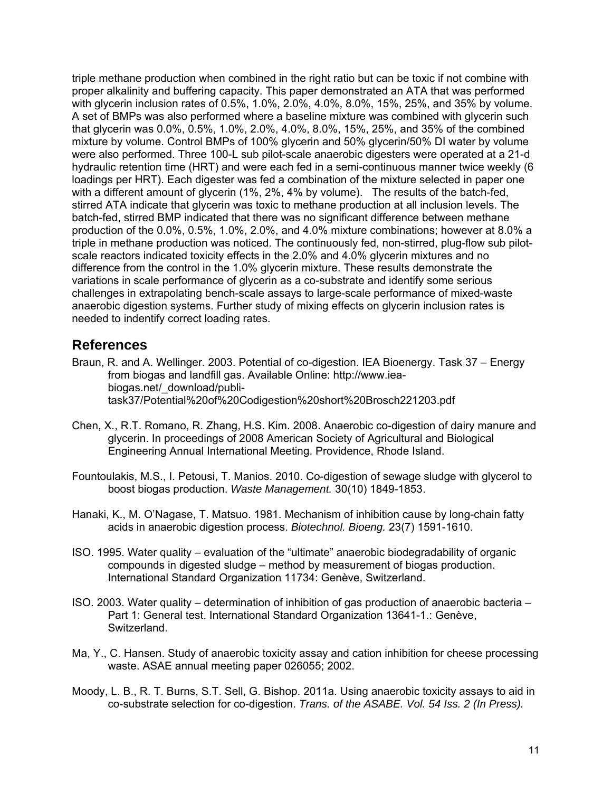triple methane production when combined in the right ratio but can be toxic if not combine with proper alkalinity and buffering capacity. This paper demonstrated an ATA that was performed with glycerin inclusion rates of 0.5%, 1.0%, 2.0%, 4.0%, 8.0%, 15%, 25%, and 35% by volume. A set of BMPs was also performed where a baseline mixture was combined with glycerin such that glycerin was 0.0%, 0.5%, 1.0%, 2.0%, 4.0%, 8.0%, 15%, 25%, and 35% of the combined mixture by volume. Control BMPs of 100% glycerin and 50% glycerin/50% DI water by volume were also performed. Three 100-L sub pilot-scale anaerobic digesters were operated at a 21-d hydraulic retention time (HRT) and were each fed in a semi-continuous manner twice weekly (6 loadings per HRT). Each digester was fed a combination of the mixture selected in paper one with a different amount of glycerin (1%, 2%, 4% by volume). The results of the batch-fed, stirred ATA indicate that glycerin was toxic to methane production at all inclusion levels. The batch-fed, stirred BMP indicated that there was no significant difference between methane production of the 0.0%, 0.5%, 1.0%, 2.0%, and 4.0% mixture combinations; however at 8.0% a triple in methane production was noticed. The continuously fed, non-stirred, plug-flow sub pilotscale reactors indicated toxicity effects in the 2.0% and 4.0% glycerin mixtures and no difference from the control in the 1.0% glycerin mixture. These results demonstrate the variations in scale performance of glycerin as a co-substrate and identify some serious challenges in extrapolating bench-scale assays to large-scale performance of mixed-waste anaerobic digestion systems. Further study of mixing effects on glycerin inclusion rates is needed to indentify correct loading rates.

## **References**

- Braun, R. and A. Wellinger. 2003. Potential of co-digestion. IEA Bioenergy. Task 37 Energy from biogas and landfill gas. Available Online: http://www.iea biogas.net/\_download/publi task37/Potential%20of%20Codigestion%20short%20Brosch221203.pdf
- Chen, X., R.T. Romano, R. Zhang, H.S. Kim. 2008. Anaerobic co-digestion of dairy manure and glycerin. In proceedings of 2008 American Society of Agricultural and Biological Engineering Annual International Meeting. Providence, Rhode Island.
- Fountoulakis, M.S., I. Petousi, T. Manios. 2010. Co-digestion of sewage sludge with glycerol to boost biogas production. *Waste Management.* 30(10) 1849-1853.
- Hanaki, K., M. O'Nagase, T. Matsuo. 1981. Mechanism of inhibition cause by long-chain fatty acids in anaerobic digestion process. *Biotechnol. Bioeng.* 23(7) 1591-1610.
- ISO. 1995. Water quality evaluation of the "ultimate" anaerobic biodegradability of organic compounds in digested sludge – method by measurement of biogas production. International Standard Organization 11734: Genève, Switzerland.
- ISO. 2003. Water quality determination of inhibition of gas production of anaerobic bacteria Part 1: General test. International Standard Organization 13641-1.: Genève, Switzerland.
- Ma, Y., C. Hansen. Study of anaerobic toxicity assay and cation inhibition for cheese processing waste. ASAE annual meeting paper 026055; 2002.
- Moody, L. B., R. T. Burns, S.T. Sell, G. Bishop. 2011a. Using anaerobic toxicity assays to aid in co-substrate selection for co-digestion. *Trans. of the ASABE. Vol. 54 Iss. 2 (In Press).*